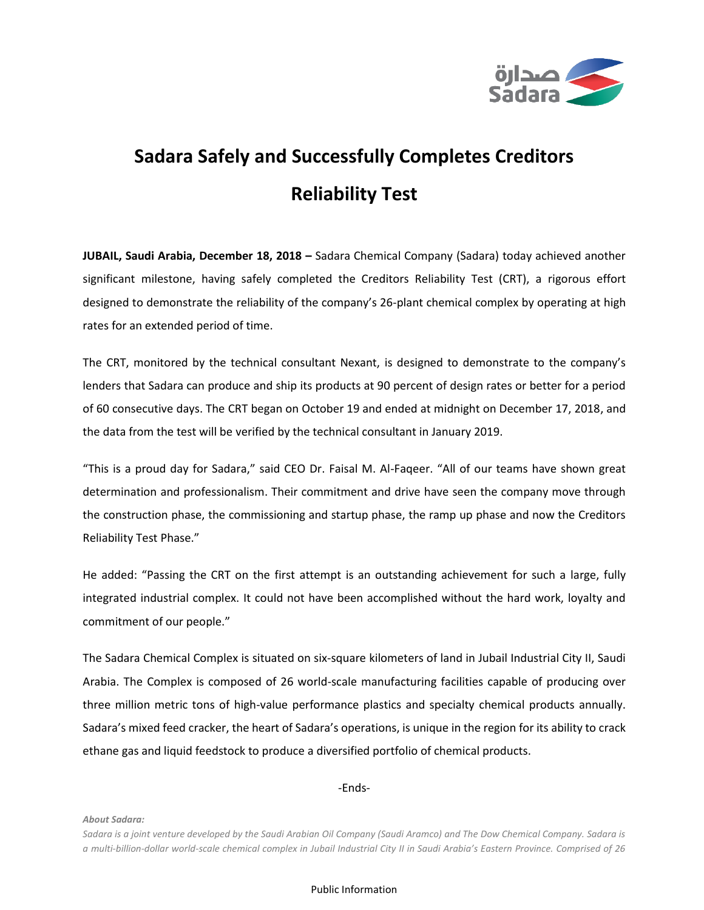

## **Sadara Safely and Successfully Completes Creditors Reliability Test**

**JUBAIL, Saudi Arabia, December 18, 2018 –** Sadara Chemical Company (Sadara) today achieved another significant milestone, having safely completed the Creditors Reliability Test (CRT), a rigorous effort designed to demonstrate the reliability of the company's 26-plant chemical complex by operating at high rates for an extended period of time.

The CRT, monitored by the technical consultant Nexant, is designed to demonstrate to the company's lenders that Sadara can produce and ship its products at 90 percent of design rates or better for a period of 60 consecutive days. The CRT began on October 19 and ended at midnight on December 17, 2018, and the data from the test will be verified by the technical consultant in January 2019.

"This is a proud day for Sadara," said CEO Dr. Faisal M. Al-Faqeer. "All of our teams have shown great determination and professionalism. Their commitment and drive have seen the company move through the construction phase, the commissioning and startup phase, the ramp up phase and now the Creditors Reliability Test Phase."

He added: "Passing the CRT on the first attempt is an outstanding achievement for such a large, fully integrated industrial complex. It could not have been accomplished without the hard work, loyalty and commitment of our people."

The Sadara Chemical Complex is situated on six-square kilometers of land in Jubail Industrial City II, Saudi Arabia. The Complex is composed of 26 world-scale manufacturing facilities capable of producing over three million metric tons of high-value performance plastics and specialty chemical products annually. Sadara's mixed feed cracker, the heart of Sadara's operations, is unique in the region for its ability to crack ethane gas and liquid feedstock to produce a diversified portfolio of chemical products.

-Ends-

*About Sadara:*

*Sadara is a joint venture developed by the Saudi Arabian Oil Company (Saudi Aramco) and The Dow Chemical Company. Sadara is a multi-billion-dollar world-scale chemical complex in Jubail Industrial City II in Saudi Arabia's Eastern Province. Comprised of 26*